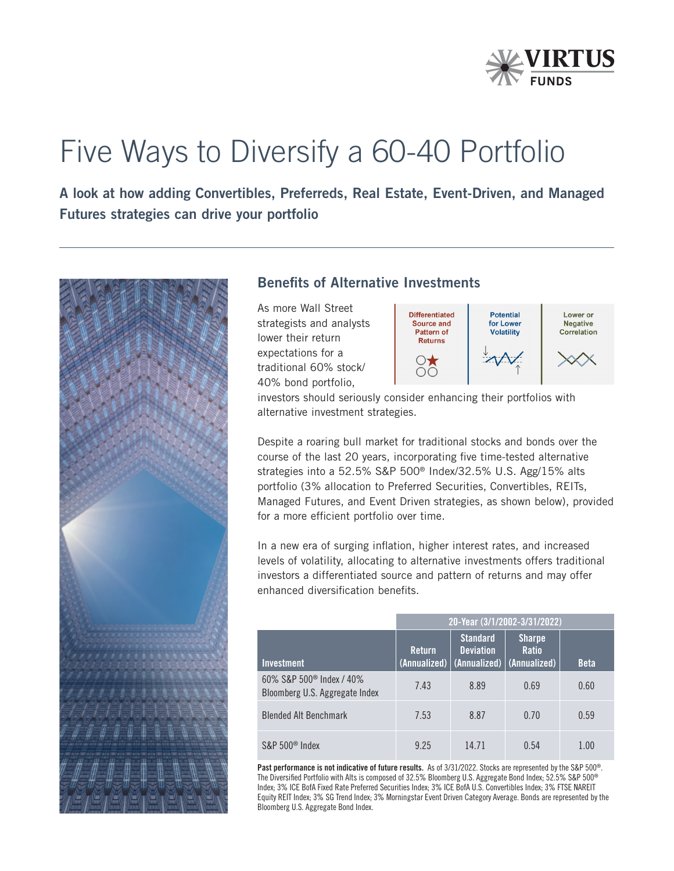

# Five Ways to Diversify a 60-40 Portfolio

A look at how adding Convertibles, Preferreds, Real Estate, Event-Driven, and Managed Futures strategies can drive your portfolio



## Benefits of Alternative Investments

As more Wall Street strategists and analysts lower their return expectations for a traditional 60% stock/ 40% bond portfolio,



investors should seriously consider enhancing their portfolios with alternative investment strategies.

Despite a roaring bull market for traditional stocks and bonds over the course of the last 20 years, incorporating five time-tested alternative strategies into a 52.5% S&P 500® Index/32.5% U.S. Agg/15% alts portfolio (3% allocation to Preferred Securities, Convertibles, REITs, Managed Futures, and Event Driven strategies, as shown below), provided for a more efficient portfolio over time.

In a new era of surging inflation, higher interest rates, and increased levels of volatility, allocating to alternative investments offers traditional investors a differentiated source and pattern of returns and may offer enhanced diversification benefits.

|                                                                        | 20-Year (3/1/2002-3/31/2022) |                                                                    |                                               |             |
|------------------------------------------------------------------------|------------------------------|--------------------------------------------------------------------|-----------------------------------------------|-------------|
| <b>Investment</b>                                                      | <b>Return</b>                | <b>Standard</b><br><b>Deviation</b><br>(Annualized)   (Annualized) | <b>Sharpe</b><br><b>Ratio</b><br>(Annualized) | <b>Beta</b> |
| 60% S&P 500 <sup>®</sup> Index / 40%<br>Bloomberg U.S. Aggregate Index | 7.43                         | 8.89                                                               | 0.69                                          | 0.60        |
| <b>Blended Alt Benchmark</b>                                           | 7.53                         | 8.87                                                               | 0.70                                          | 0.59        |
| $S\&P 500^{\circ}$ Index                                               | 9.25                         | 14 71                                                              | 0.54                                          | 1.00        |

Past performance is not indicative of future results. As of 3/31/2022. Stocks are represented by the S&P 500®. The Diversified Portfolio with Alts is composed of 32.5% Bloomberg U.S. Aggregate Bond Index; 52.5% S&P 500® Index; 3% ICE BofA Fixed Rate Preferred Securities Index; 3% ICE BofA U.S. Convertibles Index; 3% FTSE NAREIT Equity REIT Index; 3% SG Trend Index; 3% Morningstar Event Driven Category Average. Bonds are represented by the Bloomberg U.S. Aggregate Bond Index.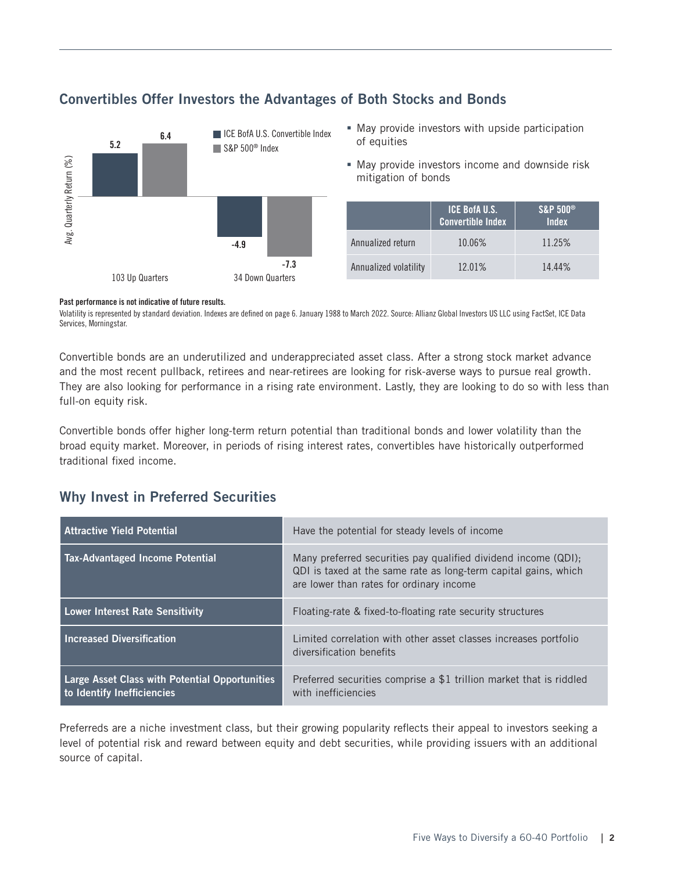

## Convertibles Offer Investors the Advantages of Both Stocks and Bonds

- May provide investors with upside participation of equities
- May provide investors income and downside risk mitigation of bonds

|                       | <b>ICE BofA U.S.</b><br><b>Convertible Index</b> | <b>S&amp;P 500®</b><br><b>Index</b> |
|-----------------------|--------------------------------------------------|-------------------------------------|
| Annualized return     | 10.06%                                           | 11.25%                              |
| Annualized volatility | 12.01%                                           | 14.44%                              |

#### Past performance is not indicative of future results.

Volatility is represented by standard deviation. Indexes are defined on page 6. January 1988 to March 2022. Source: Allianz Global Investors US LLC using FactSet, ICE Data Services, Morningstar.

Convertible bonds are an underutilized and underappreciated asset class. After a strong stock market advance and the most recent pullback, retirees and near-retirees are looking for risk-averse ways to pursue real growth. They are also looking for performance in a rising rate environment. Lastly, they are looking to do so with less than full-on equity risk.

Convertible bonds offer higher long-term return potential than traditional bonds and lower volatility than the broad equity market. Moreover, in periods of rising interest rates, convertibles have historically outperformed traditional fixed income.

## Why Invest in Preferred Securities

| Attractive Yield Potential                                                          | Have the potential for steady levels of income                                                                                                                                |
|-------------------------------------------------------------------------------------|-------------------------------------------------------------------------------------------------------------------------------------------------------------------------------|
| Tax-Advantaged Income Potential                                                     | Many preferred securities pay qualified dividend income (QDI);<br>QDI is taxed at the same rate as long-term capital gains, which<br>are lower than rates for ordinary income |
| Lower Interest Rate Sensitivity                                                     | Floating-rate & fixed-to-floating rate security structures                                                                                                                    |
| <b>Increased Diversification</b>                                                    | Limited correlation with other asset classes increases portfolio<br>diversification benefits                                                                                  |
| <b>Large Asset Class with Potential Opportunities</b><br>to Identify Inefficiencies | Preferred securities comprise a \$1 trillion market that is riddled<br>with inefficiencies                                                                                    |

Preferreds are a niche investment class, but their growing popularity reflects their appeal to investors seeking a level of potential risk and reward between equity and debt securities, while providing issuers with an additional source of capital.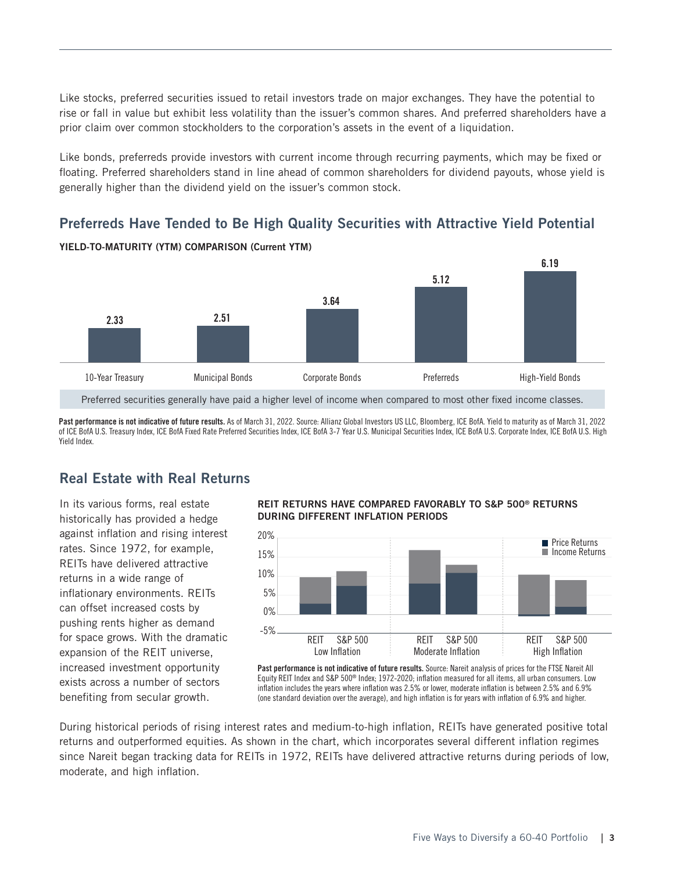Like stocks, preferred securities issued to retail investors trade on major exchanges. They have the potential to rise or fall in value but exhibit less volatility than the issuer's common shares. And preferred shareholders have a prior claim over common stockholders to the corporation's assets in the event of a liquidation.

Like bonds, preferreds provide investors with current income through recurring payments, which may be fixed or floating. Preferred shareholders stand in line ahead of common shareholders for dividend payouts, whose yield is generally higher than the dividend yield on the issuer's common stock.

## Preferreds Have Tended to Be High Quality Securities with Attractive Yield Potential



YIELD-TO-MATURITY (YTM) COMPARISON (Current YTM)

Preferred securities generally have paid a higher level of income when compared to most other fixed income classes.

Past performance is not indicative of future results. As of March 31, 2022. Source: Allianz Global Investors US LLC, Bloomberg, ICE BofA. Yield to maturity as of March 31, 2022 of ICE BofA U.S. Treasury Index, ICE BofA Fixed Rate Preferred Securities Index, ICE BofA 3-7 Year U.S. Municipal Securities Index, ICE BofA U.S. Corporate Index, ICE BofA U.S. High Yield Index.

## Real Estate with Real Returns

In its various forms, real estate historically has provided a hedge against inflation and rising interest rates. Since 1972, for example, REITs have delivered attractive returns in a wide range of inflationary environments. REITs can offset increased costs by pushing rents higher as demand for space grows. With the dramatic expansion of the REIT universe, increased investment opportunity exists across a number of sectors benefiting from secular growth.

#### REIT RETURNS HAVE COMPARED FAVORABLY TO S&P 500® RETURNS DURING DIFFERENT INFLATION PERIODS



Past performance is not indicative of future results. Source: Nareit analysis of prices for the FTSE Nareit All Equity REIT Index and S&P 500® Index; 1972-2020; inflation measured for all items, all urban consumers. Low inflation includes the years where inflation was 2.5% or lower, moderate inflation is between 2.5% and 6.9% (one standard deviation over the average), and high inflation is for years with inflation of 6.9% and higher.

During historical periods of rising interest rates and medium-to-high inflation, REITs have generated positive total returns and outperformed equities. As shown in the chart, which incorporates several different inflation regimes since Nareit began tracking data for REITs in 1972, REITs have delivered attractive returns during periods of low, moderate, and high inflation.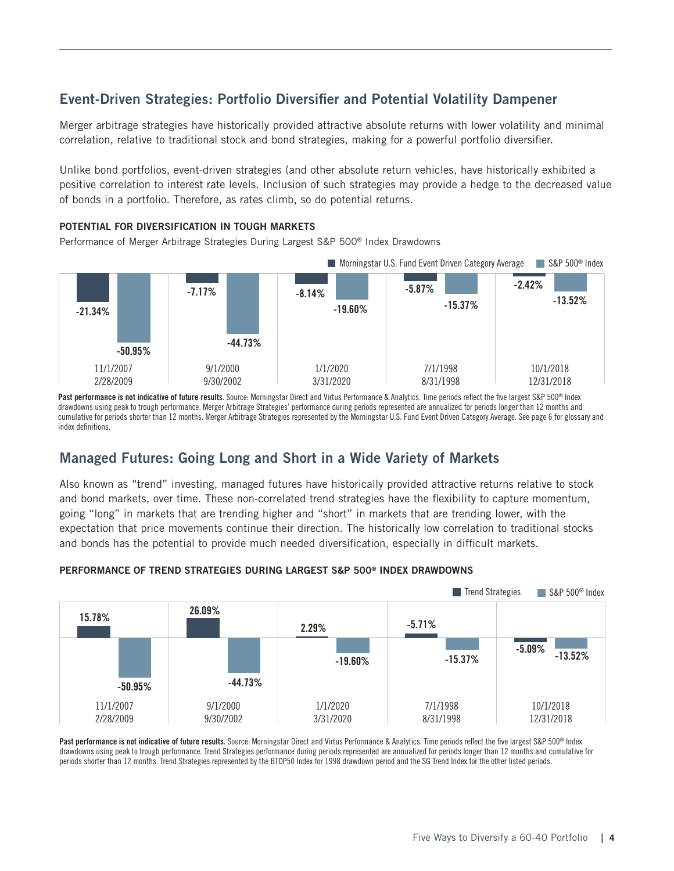## Event-Driven Strategies: Portfolio Diversifier and Potential Volatility Dampener

Merger arbitrage strategies have historically provided attractive absolute returns with lower volatility and minimal correlation, relative to traditional stock and bond strategies, making for a powerful portfolio diversifier.

Unlike bond portfolios, event-driven strategies (and other absolute return vehicles, have historically exhibited a positive correlation to interest rate levels. Inclusion of such strategies may provide a hedge to the decreased value of bonds in a portfolio. Therefore, as rates climb, so do potential returns.

#### POTENTIAL FOR DIVERSIFICATION IN TOUGH MARKETS

Performance of Merger Arbitrage Strategies During Largest S&P 500® Index Drawdowns



Past performance is not indicative of future results. Source: Morningstar Direct and Virtus Performance & Analytics. Time periods reflect the five largest S&P 500® Index drawdowns using peak to trough performance. Merger Arbitrage Strategies' performance during periods represented are annualized for periods longer than 12 months and cumulative for periods shorter than 12 months. Merger Arbitrage Strategies represented by the Morningstar U.S. Fund Event Driven Category Average. See page 6 for glossary and index definitions.

## Managed Futures: Going Long and Short in a Wide Variety of Markets

Also known as "trend" investing, managed futures have historically provided attractive returns relative to stock and bond markets, over time. These non-correlated trend strategies have the flexibility to capture momentum, going "long" in markets that are trending higher and "short" in markets that are trending lower, with the expectation that price movements continue their direction. The historically low correlation to traditional stocks and bonds has the potential to provide much needed diversification, especially in difficult markets.



#### PERFORMANCE OF TREND STRATEGIES DURING LARGEST S&P 500® INDEX DRAWDOWNS

Past performance is not indicative of future results. Source: Morningstar Direct and Virtus Performance & Analytics. Time periods reflect the five largest S&P 500® Index drawdowns using peak to trough performance. Trend Strategies performance during periods represented are annualized for periods longer than 12 months and cumulative for periods shorter than 12 months. Trend Strategies represented by the BTOP50 Index for 1998 drawdown period and the SG Trend Index for the other listed periods.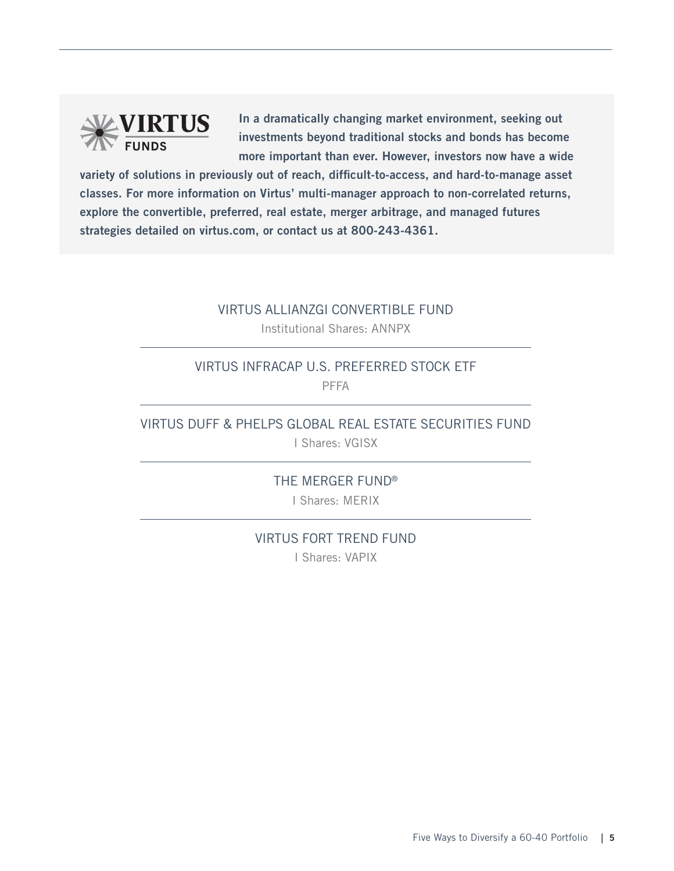

In a dramatically changing market environment, seeking out investments beyond traditional stocks and bonds has become more important than ever. However, investors now have a wide

variety of solutions in previously out of reach, difficult-to-access, and hard-to-manage asset classes. For more information on Virtus' multi-manager approach to non-correlated returns, explore the convertible, preferred, real estate, merger arbitrage, and managed futures strategies detailed on virtus.com, or contact us at 800-243-4361.

#### VIRTUS ALLIANZGI CONVERTIBLE FUND

Institutional Shares: ANNPX

## VIRTUS INFRACAP U.S. PREFERRED STOCK ETF PFFA

## VIRTUS DUFF & PHELPS GLOBAL REAL ESTATE SECURITIES FUND

I Shares: VGISX

THE MERGER FUND® I Shares: MERIX

VIRTUS FORT TREND FUND I Shares: VAPIX